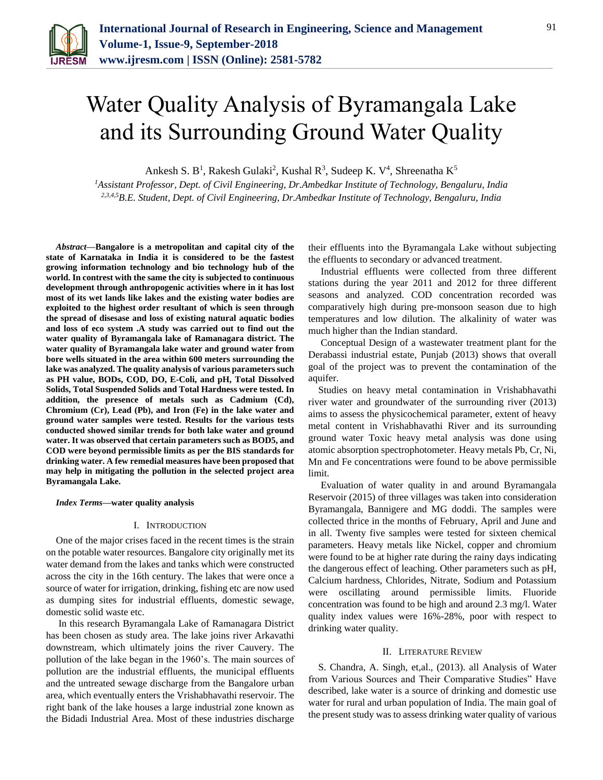

# Water Quality Analysis of Byramangala Lake and its Surrounding Ground Water Quality

Ankesh S. B<sup>1</sup>, Rakesh Gulaki<sup>2</sup>, Kushal R<sup>3</sup>, Sudeep K. V<sup>4</sup>, Shreenatha K<sup>5</sup>

*<sup>1</sup>Assistant Professor, Dept. of Civil Engineering, Dr.Ambedkar Institute of Technology, Bengaluru, India 2,3,4,5B.E. Student, Dept. of Civil Engineering, Dr.Ambedkar Institute of Technology, Bengaluru, India*

*Abstract***—Bangalore is a metropolitan and capital city of the state of Karnataka in India it is considered to be the fastest growing information technology and bio technology hub of the world. In contrest with the same the city is subjected to continuous development through anthropogenic activities where in it has lost most of its wet lands like lakes and the existing water bodies are exploited to the highest order resultant of which is seen through the spread of disesase and loss of existing natural aquatic bodies and loss of eco system .A study was carried out to find out the water quality of Byramangala lake of Ramanagara district. The water quality of Byramangala lake water and ground water from bore wells situated in the area within 600 meters surrounding the lake was analyzed. The quality analysis of various parameters such as PH value, BODs, COD, DO, E-Coli, and pH, Total Dissolved Solids, Total Suspended Solids and Total Hardness were tested. In addition, the presence of metals such as Cadmium (Cd), Chromium (Cr), Lead (Pb), and Iron (Fe) in the lake water and ground water samples were tested. Results for the various tests conducted showed similar trends for both lake water and ground water. It was observed that certain parameters such as BOD5, and COD were beyond permissible limits as per the BIS standards for drinking water. A few remedial measures have been proposed that may help in mitigating the pollution in the selected project area Byramangala Lake.**

#### *Index Terms***—water quality analysis**

### I. INTRODUCTION

One of the major crises faced in the recent times is the strain on the potable water resources. Bangalore city originally met its water demand from the lakes and tanks which were constructed across the city in the 16th century. The lakes that were once a source of water for irrigation, drinking, fishing etc are now used as dumping sites for industrial effluents, domestic sewage, domestic solid waste etc.

In this research Byramangala Lake of Ramanagara District has been chosen as study area. The lake joins river Arkavathi downstream, which ultimately joins the river Cauvery. The pollution of the lake began in the 1960's. The main sources of pollution are the industrial effluents, the municipal effluents and the untreated sewage discharge from the Bangalore urban area, which eventually enters the Vrishabhavathi reservoir. The right bank of the lake houses a large industrial zone known as the Bidadi Industrial Area. Most of these industries discharge

their effluents into the Byramangala Lake without subjecting the effluents to secondary or advanced treatment.

Industrial effluents were collected from three different stations during the year 2011 and 2012 for three different seasons and analyzed. COD concentration recorded was comparatively high during pre-monsoon season due to high temperatures and low dilution. The alkalinity of water was much higher than the Indian standard.

Conceptual Design of a wastewater treatment plant for the Derabassi industrial estate, Punjab (2013) shows that overall goal of the project was to prevent the contamination of the aquifer.

Studies on heavy metal contamination in Vrishabhavathi river water and groundwater of the surrounding river (2013) aims to assess the physicochemical parameter, extent of heavy metal content in Vrishabhavathi River and its surrounding ground water Toxic heavy metal analysis was done using atomic absorption spectrophotometer. Heavy metals Pb, Cr, Ni, Mn and Fe concentrations were found to be above permissible limit.

Evaluation of water quality in and around Byramangala Reservoir (2015) of three villages was taken into consideration Byramangala, Bannigere and MG doddi. The samples were collected thrice in the months of February, April and June and in all. Twenty five samples were tested for sixteen chemical parameters. Heavy metals like Nickel, copper and chromium were found to be at higher rate during the rainy days indicating the dangerous effect of leaching. Other parameters such as pH, Calcium hardness, Chlorides, Nitrate, Sodium and Potassium were oscillating around permissible limits. Fluoride concentration was found to be high and around 2.3 mg/l. Water quality index values were 16%-28%, poor with respect to drinking water quality.

#### II. LITERATURE REVIEW

S. Chandra, A. Singh, et,al., (2013). all Analysis of Water from Various Sources and Their Comparative Studies" Have described, lake water is a source of drinking and domestic use water for rural and urban population of India. The main goal of the present study was to assess drinking water quality of various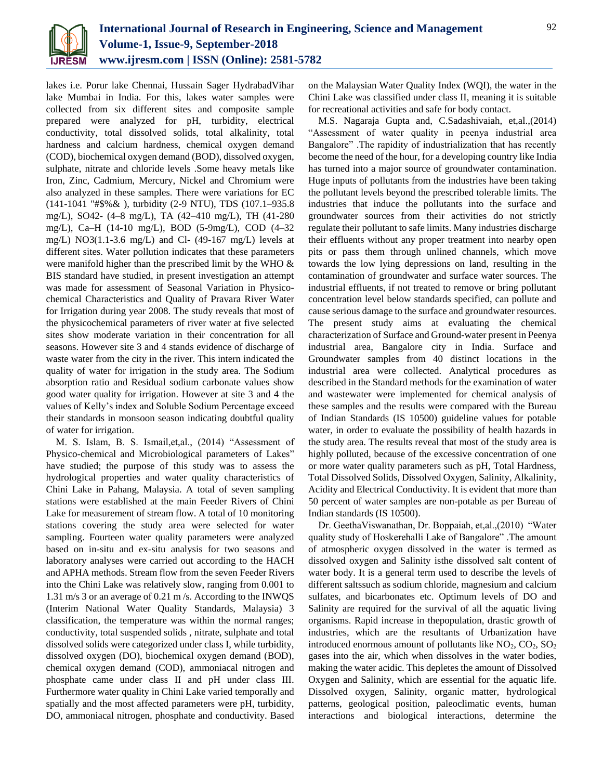

lakes i.e. Porur lake Chennai, Hussain Sager HydrabadVihar lake Mumbai in India. For this, lakes water samples were collected from six different sites and composite sample prepared were analyzed for pH, turbidity, electrical conductivity, total dissolved solids, total alkalinity, total hardness and calcium hardness, chemical oxygen demand (COD), biochemical oxygen demand (BOD), dissolved oxygen, sulphate, nitrate and chloride levels .Some heavy metals like Iron, Zinc, Cadmium, Mercury, Nickel and Chromium were also analyzed in these samples. There were variations for EC (141-1041 "#\$%& ), turbidity (2-9 NTU), TDS (107.1–935.8 mg/L), SO42- (4–8 mg/L), TA (42–410 mg/L), TH (41-280 mg/L), Ca–H (14-10 mg/L), BOD (5-9mg/L), COD (4–32 mg/L) NO3(1.1-3.6 mg/L) and Cl- (49-167 mg/L) levels at different sites. Water pollution indicates that these parameters were manifold higher than the prescribed limit by the WHO & BIS standard have studied, in present investigation an attempt was made for assessment of Seasonal Variation in Physicochemical Characteristics and Quality of Pravara River Water for Irrigation during year 2008. The study reveals that most of the physicochemical parameters of river water at five selected sites show moderate variation in their concentration for all seasons. However site 3 and 4 stands evidence of discharge of waste water from the city in the river. This intern indicated the quality of water for irrigation in the study area. The Sodium absorption ratio and Residual sodium carbonate values show good water quality for irrigation. However at site 3 and 4 the values of Kelly's index and Soluble Sodium Percentage exceed their standards in monsoon season indicating doubtful quality of water for irrigation.

M. S. Islam, B. S. Ismail,et,al., (2014) "Assessment of Physico-chemical and Microbiological parameters of Lakes" have studied; the purpose of this study was to assess the hydrological properties and water quality characteristics of Chini Lake in Pahang, Malaysia. A total of seven sampling stations were established at the main Feeder Rivers of Chini Lake for measurement of stream flow. A total of 10 monitoring stations covering the study area were selected for water sampling. Fourteen water quality parameters were analyzed based on in-situ and ex-situ analysis for two seasons and laboratory analyses were carried out according to the HACH and APHA methods. Stream flow from the seven Feeder Rivers into the Chini Lake was relatively slow, ranging from 0.001 to 1.31 m/s 3 or an average of 0.21 m /s. According to the INWQS (Interim National Water Quality Standards, Malaysia) 3 classification, the temperature was within the normal ranges; conductivity, total suspended solids , nitrate, sulphate and total dissolved solids were categorized under class I, while turbidity, dissolved oxygen (DO), biochemical oxygen demand (BOD), chemical oxygen demand (COD), ammoniacal nitrogen and phosphate came under class II and pH under class III. Furthermore water quality in Chini Lake varied temporally and spatially and the most affected parameters were pH, turbidity, DO, ammoniacal nitrogen, phosphate and conductivity. Based on the Malaysian Water Quality Index (WQI), the water in the Chini Lake was classified under class II, meaning it is suitable for recreational activities and safe for body contact.

M.S. Nagaraja Gupta and, C.Sadashivaiah, et,al.,(2014) "Assessment of water quality in peenya industrial area Bangalore" .The rapidity of industrialization that has recently become the need of the hour, for a developing country like India has turned into a major source of groundwater contamination. Huge inputs of pollutants from the industries have been taking the pollutant levels beyond the prescribed tolerable limits. The industries that induce the pollutants into the surface and groundwater sources from their activities do not strictly regulate their pollutant to safe limits. Many industries discharge their effluents without any proper treatment into nearby open pits or pass them through unlined channels, which move towards the low lying depressions on land, resulting in the contamination of groundwater and surface water sources. The industrial effluents, if not treated to remove or bring pollutant concentration level below standards specified, can pollute and cause serious damage to the surface and groundwater resources. The present study aims at evaluating the chemical characterization of Surface and Ground-water present in Peenya industrial area, Bangalore city in India. Surface and Groundwater samples from 40 distinct locations in the industrial area were collected. Analytical procedures as described in the Standard methods for the examination of water and wastewater were implemented for chemical analysis of these samples and the results were compared with the Bureau of Indian Standards (IS 10500) guideline values for potable water, in order to evaluate the possibility of health hazards in the study area. The results reveal that most of the study area is highly polluted, because of the excessive concentration of one or more water quality parameters such as pH, Total Hardness, Total Dissolved Solids, Dissolved Oxygen, Salinity, Alkalinity, Acidity and Electrical Conductivity. It is evident that more than 50 percent of water samples are non-potable as per Bureau of Indian standards (IS 10500).

Dr. GeethaViswanathan, Dr. Boppaiah, et,al.,(2010) "Water quality study of Hoskerehalli Lake of Bangalore" .The amount of atmospheric oxygen dissolved in the water is termed as dissolved oxygen and Salinity isthe dissolved salt content of water body. It is a general term used to describe the levels of different saltssuch as sodium chloride, magnesium and calcium sulfates, and bicarbonates etc. Optimum levels of DO and Salinity are required for the survival of all the aquatic living organisms. Rapid increase in thepopulation, drastic growth of industries, which are the resultants of Urbanization have introduced enormous amount of pollutants like  $NO_2$ ,  $CO_2$ ,  $SO_2$ gases into the air, which when dissolves in the water bodies, making the water acidic. This depletes the amount of Dissolved Oxygen and Salinity, which are essential for the aquatic life. Dissolved oxygen, Salinity, organic matter, hydrological patterns, geological position, paleoclimatic events, human interactions and biological interactions, determine the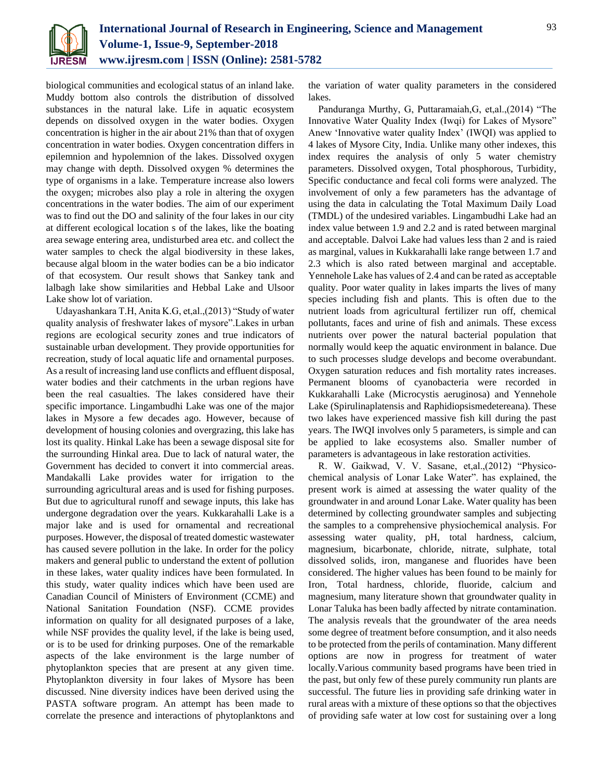

biological communities and ecological status of an inland lake. Muddy bottom also controls the distribution of dissolved substances in the natural lake. Life in aquatic ecosystem depends on dissolved oxygen in the water bodies. Oxygen concentration is higher in the air about 21% than that of oxygen concentration in water bodies. Oxygen concentration differs in epilemnion and hypolemnion of the lakes. Dissolved oxygen may change with depth. Dissolved oxygen % determines the type of organisms in a lake. Temperature increase also lowers the oxygen; microbes also play a role in altering the oxygen concentrations in the water bodies. The aim of our experiment was to find out the DO and salinity of the four lakes in our city at different ecological location s of the lakes, like the boating area sewage entering area, undisturbed area etc. and collect the water samples to check the algal biodiversity in these lakes, because algal bloom in the water bodies can be a bio indicator of that ecosystem. Our result shows that Sankey tank and lalbagh lake show similarities and Hebbal Lake and Ulsoor Lake show lot of variation.

Udayashankara T.H, Anita K.G, et,al.,(2013) "Study of water quality analysis of freshwater lakes of mysore".Lakes in urban regions are ecological security zones and true indicators of sustainable urban development. They provide opportunities for recreation, study of local aquatic life and ornamental purposes. As a result of increasing land use conflicts and effluent disposal, water bodies and their catchments in the urban regions have been the real casualties. The lakes considered have their specific importance. Lingambudhi Lake was one of the major lakes in Mysore a few decades ago. However, because of development of housing colonies and overgrazing, this lake has lost its quality. Hinkal Lake has been a sewage disposal site for the surrounding Hinkal area. Due to lack of natural water, the Government has decided to convert it into commercial areas. Mandakalli Lake provides water for irrigation to the surrounding agricultural areas and is used for fishing purposes. But due to agricultural runoff and sewage inputs, this lake has undergone degradation over the years. Kukkarahalli Lake is a major lake and is used for ornamental and recreational purposes. However, the disposal of treated domestic wastewater has caused severe pollution in the lake. In order for the policy makers and general public to understand the extent of pollution in these lakes, water quality indices have been formulated. In this study, water quality indices which have been used are Canadian Council of Ministers of Environment (CCME) and National Sanitation Foundation (NSF). CCME provides information on quality for all designated purposes of a lake, while NSF provides the quality level, if the lake is being used, or is to be used for drinking purposes. One of the remarkable aspects of the lake environment is the large number of phytoplankton species that are present at any given time. Phytoplankton diversity in four lakes of Mysore has been discussed. Nine diversity indices have been derived using the PASTA software program. An attempt has been made to correlate the presence and interactions of phytoplanktons and

the variation of water quality parameters in the considered lakes.

Panduranga Murthy, G, Puttaramaiah,G, et,al.,(2014) "The Innovative Water Quality Index (Iwqi) for Lakes of Mysore" Anew 'Innovative water quality Index' (IWQI) was applied to 4 lakes of Mysore City, India. Unlike many other indexes, this index requires the analysis of only 5 water chemistry parameters. Dissolved oxygen, Total phosphorous, Turbidity, Specific conductance and fecal coli forms were analyzed. The involvement of only a few parameters has the advantage of using the data in calculating the Total Maximum Daily Load (TMDL) of the undesired variables. Lingambudhi Lake had an index value between 1.9 and 2.2 and is rated between marginal and acceptable. Dalvoi Lake had values less than 2 and is raied as marginal, values in Kukkarahalli lake range between 1.7 and 2.3 which is also rated between marginal and acceptable. Yennehole Lake has values of 2.4 and can be rated as acceptable quality. Poor water quality in lakes imparts the lives of many species including fish and plants. This is often due to the nutrient loads from agricultural fertilizer run off, chemical pollutants, faces and urine of fish and animals. These excess nutrients over power the natural bacterial population that normally would keep the aquatic environment in balance. Due to such processes sludge develops and become overabundant. Oxygen saturation reduces and fish mortality rates increases. Permanent blooms of cyanobacteria were recorded in Kukkarahalli Lake (Microcystis aeruginosa) and Yennehole Lake (Spirulinaplatensis and Raphidiopsismedetereana). These two lakes have experienced massive fish kill during the past years. The IWQI involves only 5 parameters, is simple and can be applied to lake ecosystems also. Smaller number of parameters is advantageous in lake restoration activities.

R. W. Gaikwad, V. V. Sasane, et,al.,(2012) "Physicochemical analysis of Lonar Lake Water". has explained, the present work is aimed at assessing the water quality of the groundwater in and around Lonar Lake. Water quality has been determined by collecting groundwater samples and subjecting the samples to a comprehensive physiochemical analysis. For assessing water quality, pH, total hardness, calcium, magnesium, bicarbonate, chloride, nitrate, sulphate, total dissolved solids, iron, manganese and fluorides have been considered. The higher values has been found to be mainly for Iron, Total hardness, chloride, fluoride, calcium and magnesium, many literature shown that groundwater quality in Lonar Taluka has been badly affected by nitrate contamination. The analysis reveals that the groundwater of the area needs some degree of treatment before consumption, and it also needs to be protected from the perils of contamination. Many different options are now in progress for treatment of water locally.Various community based programs have been tried in the past, but only few of these purely community run plants are successful. The future lies in providing safe drinking water in rural areas with a mixture of these options so that the objectives of providing safe water at low cost for sustaining over a long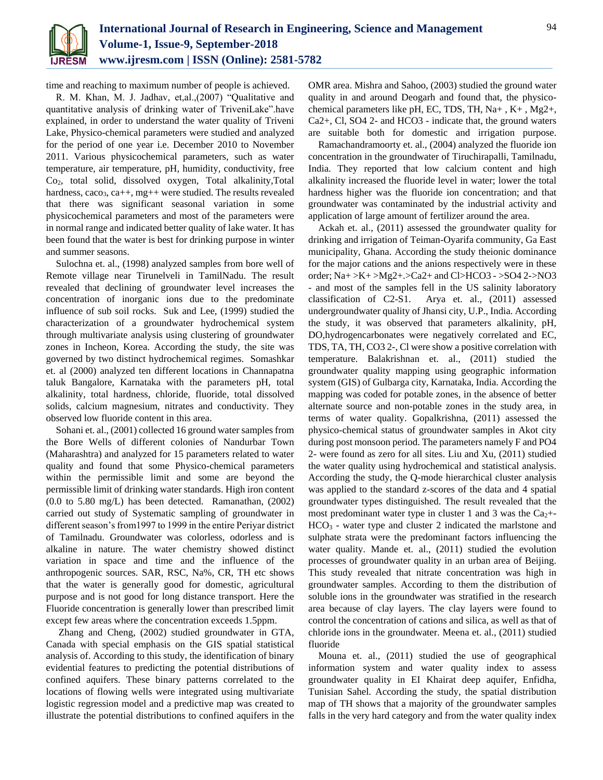

time and reaching to maximum number of people is achieved.

R. M. Khan, M. J. Jadhav, et,al.,(2007) "Qualitative and quantitative analysis of drinking water of TriveniLake".have explained, in order to understand the water quality of Triveni Lake, Physico-chemical parameters were studied and analyzed for the period of one year i.e. December 2010 to November 2011. Various physicochemical parameters, such as water temperature, air temperature, pH, humidity, conductivity, free Co2, total solid, dissolved oxygen, Total alkalinity,Total hardness, caco<sub>3</sub>, ca++, mg++ were studied. The results revealed that there was significant seasonal variation in some physicochemical parameters and most of the parameters were in normal range and indicated better quality of lake water. It has been found that the water is best for drinking purpose in winter and summer seasons.

Sulochna et. al., (1998) analyzed samples from bore well of Remote village near Tirunelveli in TamilNadu. The result revealed that declining of groundwater level increases the concentration of inorganic ions due to the predominate influence of sub soil rocks. Suk and Lee, (1999) studied the characterization of a groundwater hydrochemical system through multivariate analysis using clustering of groundwater zones in Incheon, Korea. According the study, the site was governed by two distinct hydrochemical regimes. Somashkar et. al (2000) analyzed ten different locations in Channapatna taluk Bangalore, Karnataka with the parameters pH, total alkalinity, total hardness, chloride, fluoride, total dissolved solids, calcium magnesium, nitrates and conductivity. They observed low fluoride content in this area.

Sohani et. al., (2001) collected 16 ground water samples from the Bore Wells of different colonies of Nandurbar Town (Maharashtra) and analyzed for 15 parameters related to water quality and found that some Physico-chemical parameters within the permissible limit and some are beyond the permissible limit of drinking water standards. High iron content (0.0 to 5.80 mg/L) has been detected. Ramanathan, (2002) carried out study of Systematic sampling of groundwater in different season's from1997 to 1999 in the entire Periyar district of Tamilnadu. Groundwater was colorless, odorless and is alkaline in nature. The water chemistry showed distinct variation in space and time and the influence of the anthropogenic sources. SAR, RSC, Na%, CR, TH etc shows that the water is generally good for domestic, agricultural purpose and is not good for long distance transport. Here the Fluoride concentration is generally lower than prescribed limit except few areas where the concentration exceeds 1.5ppm.

Zhang and Cheng, (2002) studied groundwater in GTA, Canada with special emphasis on the GIS spatial statistical analysis of. According to this study, the identification of binary evidential features to predicting the potential distributions of confined aquifers. These binary patterns correlated to the locations of flowing wells were integrated using multivariate logistic regression model and a predictive map was created to illustrate the potential distributions to confined aquifers in the OMR area. Mishra and Sahoo, (2003) studied the ground water quality in and around Deogarh and found that, the physicochemical parameters like pH, EC, TDS, TH, Na+ , K+ , Mg2+, Ca2+, Cl, SO4 2- and HCO3 - indicate that, the ground waters are suitable both for domestic and irrigation purpose.

Ramachandramoorty et. al., (2004) analyzed the fluoride ion concentration in the groundwater of Tiruchirapalli, Tamilnadu, India. They reported that low calcium content and high alkalinity increased the fluoride level in water; lower the total hardness higher was the fluoride ion concentration; and that groundwater was contaminated by the industrial activity and application of large amount of fertilizer around the area.

Ackah et. al., (2011) assessed the groundwater quality for drinking and irrigation of Teiman-Oyarifa community, Ga East municipality, Ghana. According the study theionic dominance for the major cations and the anions respectively were in these order; Na+ >K+ >Mg2+.>Ca2+ and Cl>HCO3 - >SO4 2->NO3 - and most of the samples fell in the US salinity laboratory classification of C2-S1. Arya et. al., (2011) assessed undergroundwater quality of Jhansi city, U.P., India. According the study, it was observed that parameters alkalinity, pH, DO,hydrogencarbonates were negatively correlated and EC, TDS, TA, TH, CO3 2-, Cl were show a positive correlation with temperature. Balakrishnan et. al., (2011) studied the groundwater quality mapping using geographic information system (GIS) of Gulbarga city, Karnataka, India. According the mapping was coded for potable zones, in the absence of better alternate source and non-potable zones in the study area, in terms of water quality. Gopalkrishna, (2011) assessed the physico-chemical status of groundwater samples in Akot city during post monsoon period. The parameters namely F and PO4 2- were found as zero for all sites. Liu and Xu, (2011) studied the water quality using hydrochemical and statistical analysis. According the study, the Q-mode hierarchical cluster analysis was applied to the standard z-scores of the data and 4 spatial groundwater types distinguished. The result revealed that the most predominant water type in cluster 1 and 3 was the  $Ca<sub>2</sub>+$  $HCO<sub>3</sub>$  - water type and cluster 2 indicated the marlstone and sulphate strata were the predominant factors influencing the water quality. Mande et. al., (2011) studied the evolution processes of groundwater quality in an urban area of Beijing. This study revealed that nitrate concentration was high in groundwater samples. According to them the distribution of soluble ions in the groundwater was stratified in the research area because of clay layers. The clay layers were found to control the concentration of cations and silica, as well as that of chloride ions in the groundwater. Meena et. al., (2011) studied fluoride

Mouna et. al., (2011) studied the use of geographical information system and water quality index to assess groundwater quality in EI Khairat deep aquifer, Enfidha, Tunisian Sahel. According the study, the spatial distribution map of TH shows that a majority of the groundwater samples falls in the very hard category and from the water quality index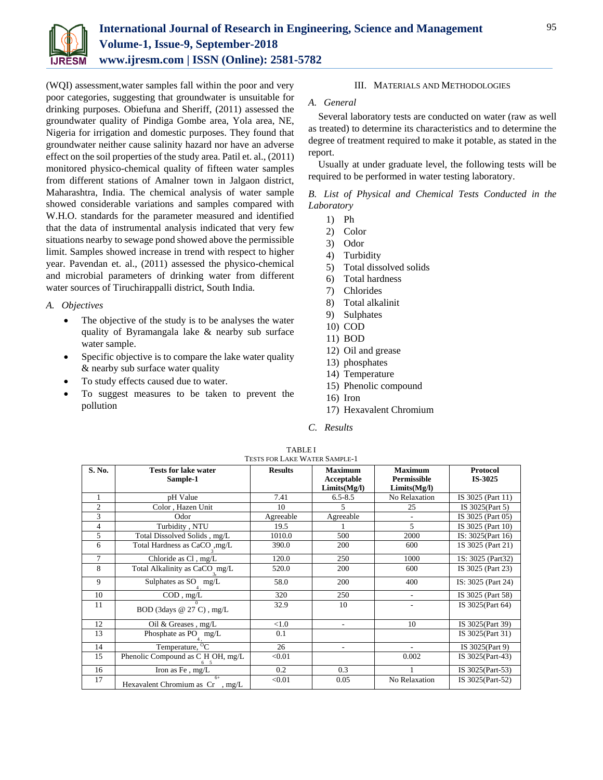

(WQI) assessment,water samples fall within the poor and very poor categories, suggesting that groundwater is unsuitable for drinking purposes. Obiefuna and Sheriff, (2011) assessed the groundwater quality of Pindiga Gombe area, Yola area, NE, Nigeria for irrigation and domestic purposes. They found that groundwater neither cause salinity hazard nor have an adverse effect on the soil properties of the study area. Patil et. al., (2011) monitored physico-chemical quality of fifteen water samples from different stations of Amalner town in Jalgaon district, Maharashtra, India. The chemical analysis of water sample showed considerable variations and samples compared with W.H.O. standards for the parameter measured and identified that the data of instrumental analysis indicated that very few situations nearby to sewage pond showed above the permissible limit. Samples showed increase in trend with respect to higher year. Pavendan et. al., (2011) assessed the physico-chemical and microbial parameters of drinking water from different water sources of Tiruchirappalli district, South India.

## *A. Objectives*

- The objective of the study is to be analyses the water quality of Byramangala lake & nearby sub surface water sample.
- Specific objective is to compare the lake water quality & nearby sub surface water quality
- To study effects caused due to water.
- To suggest measures to be taken to prevent the pollution

## III. MATERIALS AND METHODOLOGIES

# *A. General*

Several laboratory tests are conducted on water (raw as well as treated) to determine its characteristics and to determine the degree of treatment required to make it potable, as stated in the report.

Usually at under graduate level, the following tests will be required to be performed in water testing laboratory.

*B. List of Physical and Chemical Tests Conducted in the Laboratory*

- 1) Ph
- 2) Color
- 3) Odor
- 4) Turbidity
- 5) Total dissolved solids
- 6) Total hardness
- 7) Chlorides
- 8) Total alkalinit
- 9) Sulphates
- 10) COD
- 11) BOD
- 12) Oil and grease
- 13) phosphates
- 14) Temperature
- 15) Phenolic compound
- 16) Iron
- 17) Hexavalent Chromium
- *C. Results*

| S. No.         |                                          | <b>Results</b> | <b>Maximum</b> | <b>Maximum</b> |                    |
|----------------|------------------------------------------|----------------|----------------|----------------|--------------------|
|                | <b>Tests for lake water</b>              |                |                |                | <b>Protocol</b>    |
|                | Sample-1                                 |                | Acceptable     | Permissible    | IS-3025            |
|                |                                          |                | Limits(Mg/I)   | Limits(Mg/l)   |                    |
| 1              | pH Value                                 | 7.41           | $6.5 - 8.5$    | No Relaxation  | IS 3025 (Part 11)  |
| $\overline{c}$ | Color, Hazen Unit                        | 10             | 5              | 25             | IS 3025(Part 5)    |
| 3              | Odor                                     | Agreeable      | Agreeable      |                | IS 3025 (Part 05)  |
| $\overline{4}$ | Turbidity, NTU                           | 19.5           |                | 5              | IS 3025 (Part 10)  |
| 5              | Total Dissolved Solids, mg/L             | 1010.0         | 500            | 2000           | IS: 3025(Part 16)  |
| 6              | Total Hardness as CaCO , mg/L            | 390.0          | 200            | 600            | 1S 3025 (Part 21)  |
| 7              | Chloride as Cl, mg/L                     | 120.0          | 250            | 1000           | 1S: 3025 (Part32)  |
| 8              | Total Alkalinity as CaCO mg/L            | 520.0          | 200            | 600            | IS 3025 (Part 23)  |
| 9              | Sulphates as SO mg/L                     | 58.0           | 200            | 400            | IS: 3025 (Part 24) |
| 10             | $\overline{COD}$ , mg/L                  | 320            | 250            | ۰              | IS 3025 (Part 58)  |
| 11             | BOD (3days @ 27 C), mg/L                 | 32.9           | 10             |                | IS 3025(Part 64)   |
| 12             | Oil & Greases, mg/L                      | < 1.0          |                | 10             | IS 3025(Part 39)   |
| 13             | Phosphate as $PO_{4}$ mg/L               | 0.1            |                |                | IS 3025(Part 31)   |
| 14             | Temperature, <sup>O</sup> C              | 26             |                |                | IS 3025(Part 9)    |
| 15             | Phenolic Compound as C H OH, mg/L        | < 0.01         |                | 0.002          | IS 3025(Part-43)   |
| 16             | Iron as Fe, mg/L                         | 0.2            | 0.3            |                | IS 3025(Part-53)   |
| 17             | $6+$<br>Hexavalent Chromium as Cr , mg/L | < 0.01         | 0.05           | No Relaxation  | IS 3025(Part-52)   |

TABLE I TESTS FOR LAKE WATER SAMPLE-1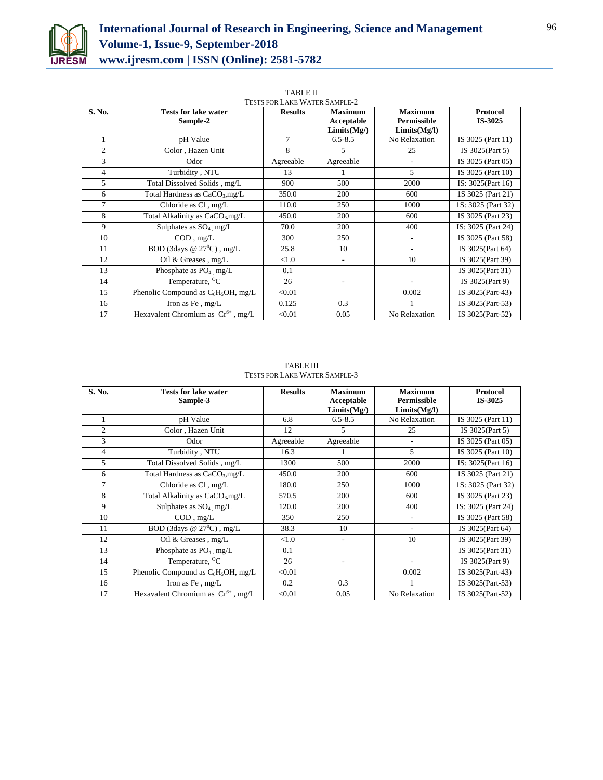

| TESTS FOR LAKE WATER SAMPLE-2 |                                            |                |                                            |                                               |                            |  |
|-------------------------------|--------------------------------------------|----------------|--------------------------------------------|-----------------------------------------------|----------------------------|--|
| S. No.                        | <b>Tests for lake water</b><br>Sample-2    | <b>Results</b> | <b>Maximum</b><br>Acceptable<br>Limits(Mg) | <b>Maximum</b><br>Permissible<br>Limits(Mg/I) | <b>Protocol</b><br>IS-3025 |  |
| 1                             | pH Value                                   | 7              | $6.5 - 8.5$                                | No Relaxation                                 | IS 3025 (Part 11)          |  |
| $\overline{c}$                | Color, Hazen Unit                          | 8              | 5                                          | 25                                            | IS 3025(Part 5)            |  |
| 3                             | Odor                                       | Agreeable      | Agreeable                                  |                                               | IS 3025 (Part 05)          |  |
| $\overline{4}$                | Turbidity, NTU                             | 13             |                                            | 5                                             | IS 3025 (Part 10)          |  |
| 5                             | Total Dissolved Solids, mg/L               | 900            | 500                                        | 2000                                          | IS: 3025(Part 16)          |  |
| 6                             | Total Hardness as CaCO <sub>3</sub> , mg/L | 350.0          | 200                                        | 600                                           | 1S 3025 (Part 21)          |  |
| 7                             | Chloride as Cl, mg/L                       | 110.0          | 250                                        | 1000                                          | 1S: 3025 (Part 32)         |  |
| 8                             | Total Alkalinity as $CaCO3$ mg/L           | 450.0          | 200                                        | 600                                           | IS 3025 (Part 23)          |  |
| 9                             | Sulphates as $SO_4$ mg/L                   | 70.0           | 200                                        | 400                                           | IS: 3025 (Part 24)         |  |
| 10                            | $COD$ , $mg/L$                             | 300            | 250                                        |                                               | IS 3025 (Part 58)          |  |
| 11                            | BOD (3days $@ 27$ <sup>0</sup> C), mg/L    | 25.8           | 10                                         | ٠                                             | IS 3025(Part 64)           |  |
| 12                            | Oil & Greases, mg/L                        | < 1.0          | ÷                                          | 10                                            | IS 3025(Part 39)           |  |
| 13                            | Phosphate as $PO_4$ , mg/L                 | 0.1            |                                            |                                               | IS 3025(Part 31)           |  |
| 14                            | Temperature, <sup>O</sup> C                | 26             | ٠                                          |                                               | IS 3025(Part 9)            |  |
| 15                            | Phenolic Compound as $C_6H_5OH$ , mg/L     | < 0.01         |                                            | 0.002                                         | IS 3025(Part-43)           |  |
| 16                            | Iron as Fe, mg/L                           | 0.125          | 0.3                                        |                                               | IS 3025(Part-53)           |  |
| 17                            | Hexavalent Chromium as $Cr^{6+}$ , mg/L    | < 0.01         | 0.05                                       | No Relaxation                                 | IS 3025(Part-52)           |  |

| <b>TABLE II</b>                    |
|------------------------------------|
| <b>TESTS FOR LAKE WATER SAMPLI</b> |

TABLE III TESTS FOR LAKE WATER SAMPLE-3

| S. No.         | <b>Tests for lake water</b><br>Sample-3    | <b>Results</b> | <b>Maximum</b><br>Acceptable | <b>Maximum</b><br><b>Permissible</b> | <b>Protocol</b><br>IS-3025 |
|----------------|--------------------------------------------|----------------|------------------------------|--------------------------------------|----------------------------|
|                |                                            |                | Limits(Mg)                   | Limits(Mg/I)                         |                            |
| 1              | pH Value                                   | 6.8            | $6.5 - 8.5$                  | No Relaxation                        | IS 3025 (Part 11)          |
| 2              | Color, Hazen Unit                          | 12             | 5                            | 25                                   | IS 3025(Part 5)            |
| 3              | Odor                                       | Agreeable      | Agreeable                    |                                      | IS 3025 (Part 05)          |
| $\overline{4}$ | Turbidity, NTU                             | 16.3           |                              | 5                                    | IS 3025 (Part 10)          |
| 5              | Total Dissolved Solids, mg/L               | 1300           | 500                          | 2000                                 | IS: 3025(Part 16)          |
| 6              | Total Hardness as CaCO <sub>3</sub> , mg/L | 450.0          | 200                          | 600                                  | 1S 3025 (Part 21)          |
| 7              | Chloride as Cl, mg/L                       | 180.0          | 250                          | 1000                                 | 1S: 3025 (Part 32)         |
| 8              | Total Alkalinity as $CaCO3$ mg/L           | 570.5          | 200                          | 600                                  | IS 3025 (Part 23)          |
| 9              | Sulphates as $SO_4$ , mg/L                 | 120.0          | 200                          | 400                                  | IS: 3025 (Part 24)         |
| 10             | $COD$ , mg/L                               | 350            | 250                          | $\overline{a}$                       | IS 3025 (Part 58)          |
| 11             | BOD (3days @ $27^{\circ}$ C), mg/L         | 38.3           | 10                           | ۰                                    | IS 3025(Part 64)           |
| 12             | Oil & Greases, mg/L                        | < 1.0          | $\overline{\phantom{a}}$     | 10                                   | IS 3025(Part 39)           |
| 13             | Phosphate as $PO_4$ , mg/L                 | 0.1            |                              |                                      | IS 3025(Part 31)           |
| 14             | Temperature, <sup>o</sup> C                | 26             | $\overline{a}$               |                                      | IS 3025(Part 9)            |
| 15             | Phenolic Compound as $C_6H_5OH$ , mg/L     | < 0.01         |                              | 0.002                                | IS 3025(Part-43)           |
| 16             | Iron as Fe, mg/L                           | 0.2            | 0.3                          |                                      | IS 3025(Part-53)           |
| 17             | Hexavalent Chromium as $Cr^{6+}$ , mg/L    | < 0.01         | 0.05                         | No Relaxation                        | IS 3025(Part-52)           |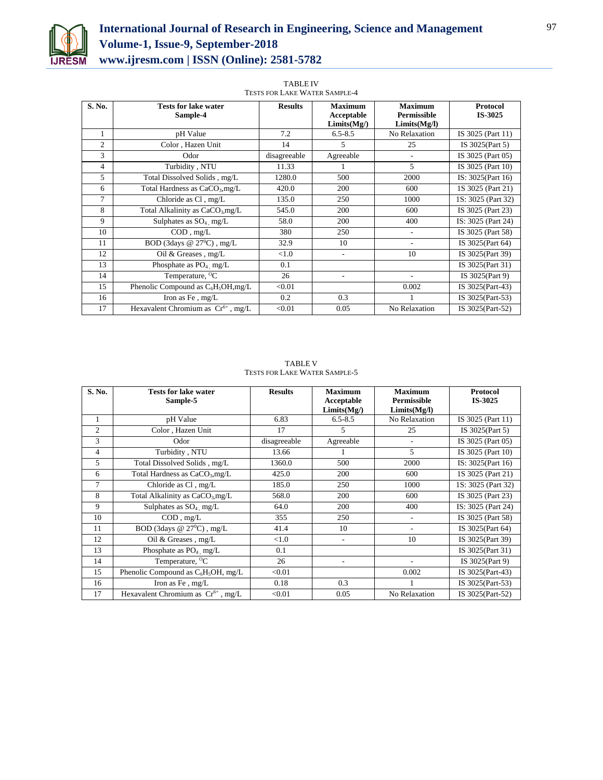

| <b>TABLE IV</b>                      |
|--------------------------------------|
| <b>TESTS FOR LAKE WATER SAMPLE-4</b> |

| S. No.         | <b>Tests for lake water</b>                 | <b>Results</b> | <b>Maximum</b> | <b>Maximum</b>     | <b>Protocol</b>    |  |
|----------------|---------------------------------------------|----------------|----------------|--------------------|--------------------|--|
|                | Sample-4                                    |                | Acceptable     | <b>Permissible</b> | IS-3025            |  |
|                |                                             |                | Limits(Mg)     | Limits(Mg/I)       |                    |  |
|                | pH Value                                    | 7.2            | $6.5 - 8.5$    | No Relaxation      | IS 3025 (Part 11)  |  |
| $\overline{c}$ | Color, Hazen Unit                           | 14             | 5              | 25                 | IS 3025(Part 5)    |  |
| 3              | Odor                                        | disagreeable   | Agreeable      | ٠                  | IS 3025 (Part 05)  |  |
| 4              | Turbidity, NTU                              | 11.33          |                | 5                  | IS 3025 (Part 10)  |  |
| 5              | Total Dissolved Solids, mg/L                | 1280.0         | 500            | 2000               | IS: 3025(Part 16)  |  |
| 6              | Total Hardness as $CaCO3, mg/L$             | 420.0          | 200            | 600                | 1S 3025 (Part 21)  |  |
| 7              | Chloride as Cl, mg/L                        | 135.0          | 250            | 1000               | 1S: 3025 (Part 32) |  |
| 8              | Total Alkalinity as CaCO <sub>3</sub> ,mg/L | 545.0          | 200            | 600                | IS 3025 (Part 23)  |  |
| 9              | Sulphates as $SO_4$ , mg/L                  | 58.0           | 200            | 400                | IS: 3025 (Part 24) |  |
| 10             | $COD$ , $mg/L$                              | 380            | 250            | ٠                  | IS 3025 (Part 58)  |  |
| 11             | BOD (3days $@27^0C)$ , mg/L                 | 32.9           | 10             | ۰                  | IS 3025(Part 64)   |  |
| 12             | Oil & Greases, mg/L                         | < 1.0          | ٠              | 10                 | IS 3025(Part 39)   |  |
| 13             | Phosphate as $PO_4$ , mg/L                  | 0.1            |                |                    | IS 3025(Part 31)   |  |
| 14             | Temperature, <sup>o</sup> C                 | 26             | ۰              | ٠                  | IS 3025(Part 9)    |  |
| 15             | Phenolic Compound as $C_6H_5OH$ , mg/L      | < 0.01         |                | 0.002              | IS 3025(Part-43)   |  |
| 16             | Iron as Fe, mg/L                            | 0.2            | 0.3            |                    | IS 3025(Part-53)   |  |
| 17             | Hexavalent Chromium as $Cr^{6+}$ , mg/L     | < 0.01         | 0.05           | No Relaxation      | IS 3025(Part-52)   |  |

TABLE V TESTS FOR LAKE WATER SAMPLE-5

| S. No.         | <b>Tests for lake water</b>             | <b>Results</b> | <b>Maximum</b>           | <b>Maximum</b><br><b>Permissible</b> | <b>Protocol</b><br>IS-3025 |
|----------------|-----------------------------------------|----------------|--------------------------|--------------------------------------|----------------------------|
|                | Sample-5                                |                | Acceptable<br>Limits(Mg) | Limits(Mg/I)                         |                            |
| 1              | pH Value                                | 6.83           | $6.5 - 8.5$              | No Relaxation                        | IS 3025 (Part 11)          |
| $\overline{c}$ | Color, Hazen Unit                       | 17             | 5                        | 25                                   | IS 3025(Part 5)            |
| 3              | Odor                                    | disagreeable   | Agreeable                |                                      | IS 3025 (Part 05)          |
| $\overline{4}$ | Turbidity, NTU                          | 13.66          |                          | 5                                    | IS 3025 (Part 10)          |
| 5              | Total Dissolved Solids, mg/L            | 1360.0         | 500                      | 2000                                 | IS: 3025(Part 16)          |
| 6              | Total Hardness as $CaCO3, mg/L$         | 425.0          | 200                      | 600                                  | 1S 3025 (Part 21)          |
| 7              | Chloride as Cl, mg/L                    | 185.0          | 250                      | 1000                                 | 1S: 3025 (Part 32)         |
| 8              | Total Alkalinity as $CaCO3$ mg/L        | 568.0          | 200                      | 600                                  | IS 3025 (Part 23)          |
| 9              | Sulphates as $SO_4$ mg/L                | 64.0           | 200                      | 400                                  | IS: 3025 (Part 24)         |
| 10             | $COD$ , mg/L                            | 355            | 250                      | $\overline{a}$                       | IS 3025 (Part 58)          |
| 11             | BOD (3days @ $27^{\circ}$ C), mg/L      | 41.4           | 10                       | ٠                                    | IS 3025(Part 64)           |
| 12             | Oil & Greases, mg/L                     | < 1.0          | $\overline{a}$           | 10                                   | IS 3025(Part 39)           |
| 13             | Phosphate as $PO_4$ , mg/L              | 0.1            |                          |                                      | IS 3025(Part 31)           |
| 14             | Temperature, <sup>O</sup> C             | 26             | $\overline{a}$           |                                      | IS 3025(Part 9)            |
| 15             | Phenolic Compound as $C_6H_5OH$ , mg/L  | < 0.01         |                          | 0.002                                | IS 3025(Part-43)           |
| 16             | Iron as Fe, mg/L                        | 0.18           | 0.3                      |                                      | IS 3025(Part-53)           |
| 17             | Hexavalent Chromium as $Cr^{6+}$ , mg/L | < 0.01         | 0.05                     | No Relaxation                        | IS 3025(Part-52)           |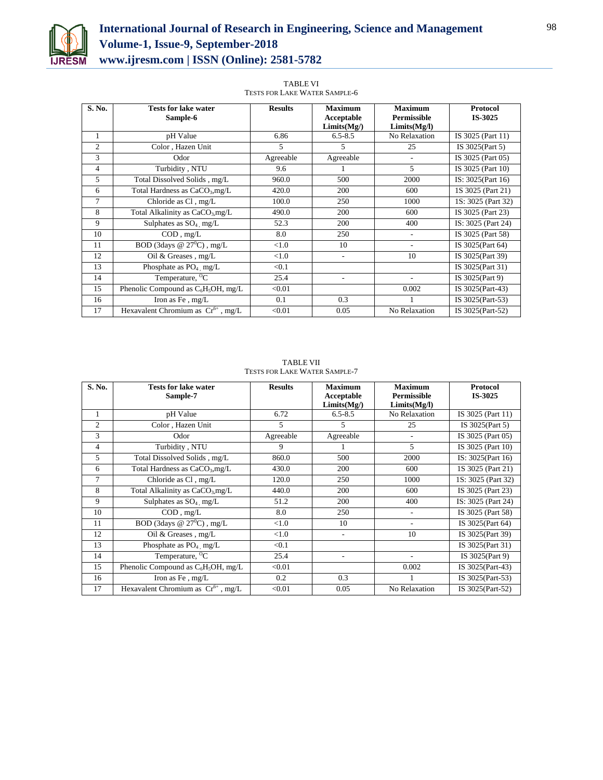

TABLE VI TESTS FOR LAKE WATER SAMPLE-6

| S. No.         | <b>Tests for lake water</b>             | <b>Results</b> | <b>Maximum</b>           | <b>Maximum</b>                     | <b>Protocol</b>    |
|----------------|-----------------------------------------|----------------|--------------------------|------------------------------------|--------------------|
|                | Sample-6                                |                | Acceptable<br>Limits(Mg) | <b>Permissible</b><br>Limits(Mg/l) | IS-3025            |
| 1              | pH Value                                | 6.86           | $6.5 - 8.5$              | No Relaxation                      | IS 3025 (Part 11)  |
| 2              | Color, Hazen Unit                       | 5              | 5                        | 25                                 | IS $3025$ (Part 5) |
| 3              | Odor                                    | Agreeable      | Agreeable                |                                    | IS 3025 (Part 05)  |
| $\overline{4}$ | Turbidity, NTU                          | 9.6            |                          | 5                                  | IS 3025 (Part 10)  |
| 5              | Total Dissolved Solids, mg/L            | 960.0          | 500                      | 2000                               | IS: 3025(Part 16)  |
| 6              | Total Hardness as $CaCO3, mg/L$         | 420.0          | 200                      | 600                                | 1S 3025 (Part 21)  |
| $\overline{7}$ | Chloride as Cl, mg/L                    | 100.0          | 250                      | 1000                               | 1S: 3025 (Part 32) |
| 8              | Total Alkalinity as $CaCO3$ mg/L        | 490.0          | 200                      | 600                                | IS 3025 (Part 23)  |
| 9              | Sulphates as $SO_4$ , mg/L              | 52.3           | 200                      | 400                                | IS: 3025 (Part 24) |
| 10             | $COD$ , mg/L                            | 8.0            | 250                      | $\overline{\phantom{a}}$           | IS 3025 (Part 58)  |
| 11             | BOD (3days @ $27^0C$ ), mg/L            | < 1.0          | 10                       | $\overline{\phantom{a}}$           | IS 3025(Part 64)   |
| 12             | Oil & Greases, mg/L                     | < 1.0          | ۰                        | 10                                 | IS 3025(Part 39)   |
| 13             | Phosphate as $PO_4$ mg/L                | < 0.1          |                          |                                    | IS 3025(Part 31)   |
| 14             | Temperature, $\overline{^0C}$           | 25.4           | ä,                       |                                    | IS 3025(Part 9)    |
| 15             | Phenolic Compound as $C_6H_5OH$ , mg/L  | < 0.01         |                          | 0.002                              | IS 3025(Part-43)   |
| 16             | Iron as Fe, mg/L                        | 0.1            | 0.3                      |                                    | IS 3025(Part-53)   |
| 17             | Hexavalent Chromium as $Cr^{6+}$ , mg/L | < 0.01         | 0.05                     | No Relaxation                      | IS 3025(Part-52)   |

TABLE VII TESTS FOR LAKE WATER SAMPLE-7

| S. No.         | <b>Tests for lake water</b><br>Sample-7     | <b>Results</b> | <b>Maximum</b><br>Acceptable<br>Limits(Mg) | <b>Maximum</b><br><b>Permissible</b><br>Limits(Mg/I) | <b>Protocol</b><br>IS-3025 |
|----------------|---------------------------------------------|----------------|--------------------------------------------|------------------------------------------------------|----------------------------|
| 1              | pH Value                                    | 6.72           | $6.5 - 8.5$                                | No Relaxation                                        | IS 3025 (Part 11)          |
| 2              | Color, Hazen Unit                           | 5              | 5                                          | 25                                                   | IS 3025(Part 5)            |
| 3              | Odor                                        | Agreeable      | Agreeable                                  | $\overline{\phantom{a}}$                             | IS 3025 (Part 05)          |
| $\overline{4}$ | Turbidity, NTU                              | 9              | 1                                          | 5                                                    | IS 3025 (Part 10)          |
| 5              | Total Dissolved Solids, mg/L                | 860.0          | 500                                        | 2000                                                 | IS: 3025(Part 16)          |
| 6              | Total Hardness as CaCO <sub>3</sub> , mg/L  | 430.0          | 200                                        | 600                                                  | 1S 3025 (Part 21)          |
| 7              | Chloride as Cl, mg/L                        | 120.0          | 250                                        | 1000                                                 | 1S: 3025 (Part 32)         |
| 8              | Total Alkalinity as CaCO <sub>3</sub> ,mg/L | 440.0          | 200                                        | 600                                                  | IS 3025 (Part 23)          |
| 9              | Sulphates as $SO_4$ mg/L                    | 51.2           | 200                                        | 400                                                  | IS: 3025 (Part 24)         |
| 10             | $COD$ , $mg/L$                              | 8.0            | 250                                        | ٠                                                    | IS 3025 (Part 58)          |
| 11             | BOD (3days @ $27^{\circ}$ C), mg/L          | < 1.0          | 10                                         | $\overline{\phantom{a}}$                             | IS 3025(Part 64)           |
| 12             | Oil & Greases, $mg/L$                       | < 1.0          | ٠                                          | 10                                                   | IS 3025(Part 39)           |
| 13             | Phosphate as $PO4$ , mg/L                   | < 0.1          |                                            |                                                      | IS 3025(Part 31)           |
| 14             | Temperature, <sup>O</sup> C                 | 25.4           | ٠                                          |                                                      | IS 3025(Part 9)            |
| 15             | Phenolic Compound as $C_6H_5OH$ , mg/L      | < 0.01         |                                            | 0.002                                                | IS 3025(Part-43)           |
| 16             | Iron as Fe, mg/L                            | 0.2            | 0.3                                        |                                                      | IS 3025(Part-53)           |
| 17             | Hexavalent Chromium as $Cr^{6+}$ , mg/L     | < 0.01         | 0.05                                       | No Relaxation                                        | IS 3025(Part-52)           |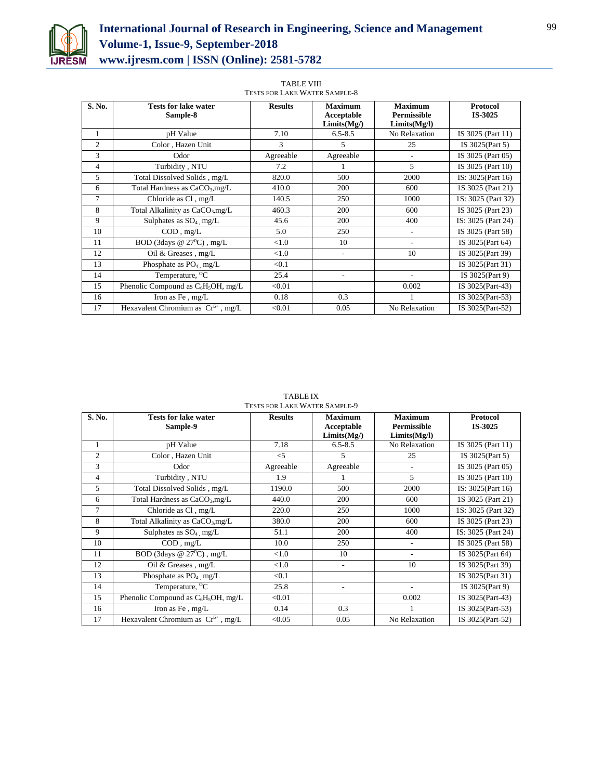

| <b>TABLE VIII</b>                    |
|--------------------------------------|
| <b>TESTS FOR LAKE WATER SAMPLE-8</b> |

| S. No.         | <b>Tests for lake water</b><br>Sample-8     | <b>Results</b> | <b>Maximum</b><br>Acceptable<br>Limits(Mg) | <b>Maximum</b><br><b>Permissible</b><br>Limits(Mg/I) | <b>Protocol</b><br>IS-3025 |  |  |
|----------------|---------------------------------------------|----------------|--------------------------------------------|------------------------------------------------------|----------------------------|--|--|
| 1              | pH Value                                    | 7.10           | $6.5 - 8.5$                                | No Relaxation                                        | IS 3025 (Part 11)          |  |  |
| $\overline{c}$ | Color, Hazen Unit                           | 3              | 5                                          | 25                                                   | IS 3025(Part 5)            |  |  |
| 3              | Odor                                        | Agreeable      | Agreeable                                  | $\overline{\phantom{a}}$                             | IS 3025 (Part 05)          |  |  |
| $\overline{4}$ | Turbidity, NTU                              | 7.2            |                                            | 5                                                    | IS 3025 (Part 10)          |  |  |
| 5              | Total Dissolved Solids, mg/L                | 820.0          | 500                                        | 2000                                                 | IS: 3025(Part 16)          |  |  |
| 6              | Total Hardness as $CaCO3, mg/L$             | 410.0          | 200                                        | 600                                                  | 1S 3025 (Part 21)          |  |  |
| $\overline{7}$ | Chloride as Cl, mg/L                        | 140.5          | 250                                        | 1000                                                 | 1S: 3025 (Part 32)         |  |  |
| 8              | Total Alkalinity as CaCO <sub>3</sub> ,mg/L | 460.3          | 200                                        | 600                                                  | IS 3025 (Part 23)          |  |  |
| 9              | Sulphates as $SO_4$ mg/L                    | 45.6           | 200                                        | 400                                                  | IS: 3025 (Part 24)         |  |  |
| 10             | $COD$ , mg/L                                | 5.0            | 250                                        |                                                      | IS 3025 (Part 58)          |  |  |
| 11             | BOD (3days @ $27^0$ C), mg/L                | ${<}1.0$       | 10                                         | $\overline{\phantom{a}}$                             | IS 3025(Part 64)           |  |  |
| 12             | Oil & Greases, mg/L                         | < 1.0          | $\overline{\phantom{a}}$                   | 10                                                   | IS 3025(Part 39)           |  |  |
| 13             | Phosphate as PO <sub>4</sub> , mg/L         | < 0.1          |                                            |                                                      | IS 3025(Part 31)           |  |  |
| 14             | Temperature, <sup>O</sup> C                 | 25.4           | $\overline{\phantom{a}}$                   |                                                      | IS 3025(Part 9)            |  |  |
| 15             | Phenolic Compound as $C_6H_5OH$ , mg/L      | < 0.01         |                                            | 0.002                                                | IS 3025(Part-43)           |  |  |
| 16             | Iron as Fe, mg/L                            | 0.18           | 0.3                                        |                                                      | IS 3025(Part-53)           |  |  |
| 17             | Hexavalent Chromium as $Cr^{6+}$ , mg/L     | < 0.01         | 0.05                                       | No Relaxation                                        | IS 3025(Part-52)           |  |  |

TABLE IX TESTS FOR LAKE WATER SAMPLE-9

| S. No.         | <b>Tests for lake water</b><br>Sample-9     | <b>Results</b> | <b>Maximum</b><br>Acceptable | <b>Maximum</b><br><b>Permissible</b> | <b>Protocol</b><br>IS-3025 |
|----------------|---------------------------------------------|----------------|------------------------------|--------------------------------------|----------------------------|
|                |                                             |                | Limits(Mg)                   | Limits(Mg/I)                         |                            |
| 1              | pH Value                                    | 7.18           | $6.5 - 8.5$                  | No Relaxation                        | IS 3025 (Part 11)          |
| $\overline{2}$ | Color, Hazen Unit                           | $<$ 5          | 5                            | 25                                   | IS 3025(Part 5)            |
| 3              | Odor                                        | Agreeable      | Agreeable                    |                                      | IS 3025 (Part 05)          |
| 4              | Turbidity, NTU                              | 1.9            |                              | 5                                    | IS 3025 (Part 10)          |
| 5              | Total Dissolved Solids, mg/L                | 1190.0         | 500                          | 2000                                 | IS: 3025(Part 16)          |
| 6              | Total Hardness as $CaCO3, mg/L$             | 440.0          | 200                          | 600                                  | 1S 3025 (Part 21)          |
| 7              | Chloride as Cl, mg/L                        | 220.0          | 250                          | 1000                                 | 1S: 3025 (Part 32)         |
| 8              | Total Alkalinity as CaCO <sub>3</sub> ,mg/L | 380.0          | 200                          | 600                                  | IS 3025 (Part 23)          |
| 9              | Sulphates as $SO_4$ , mg/L                  | 51.1           | 200                          | 400                                  | IS: 3025 (Part 24)         |
| 10             | $COD$ , mg/L                                | 10.0           | 250                          |                                      | IS 3025 (Part 58)          |
| 11             | BOD (3days $@27^0C)$ , mg/L                 | < 1.0          | 10                           | $\overline{\phantom{a}}$             | IS 3025(Part 64)           |
| 12             | Oil & Greases, mg/L                         | < 1.0          | ٠                            | 10                                   | IS 3025(Part 39)           |
| 13             | Phosphate as $PO4$ mg/L                     | < 0.1          |                              |                                      | IS 3025(Part 31)           |
| 14             | Temperature, <sup>O</sup> C                 | 25.8           | ٠                            |                                      | IS 3025(Part 9)            |
| 15             | Phenolic Compound as $C_6H_5OH$ , mg/L      | < 0.01         |                              | 0.002                                | IS 3025(Part-43)           |
| 16             | Iron as Fe, mg/L                            | 0.14           | 0.3                          |                                      | IS 3025(Part-53)           |
| 17             | Hexavalent Chromium as $Cr^{6+}$ , mg/L     | < 0.05         | 0.05                         | No Relaxation                        | IS 3025(Part-52)           |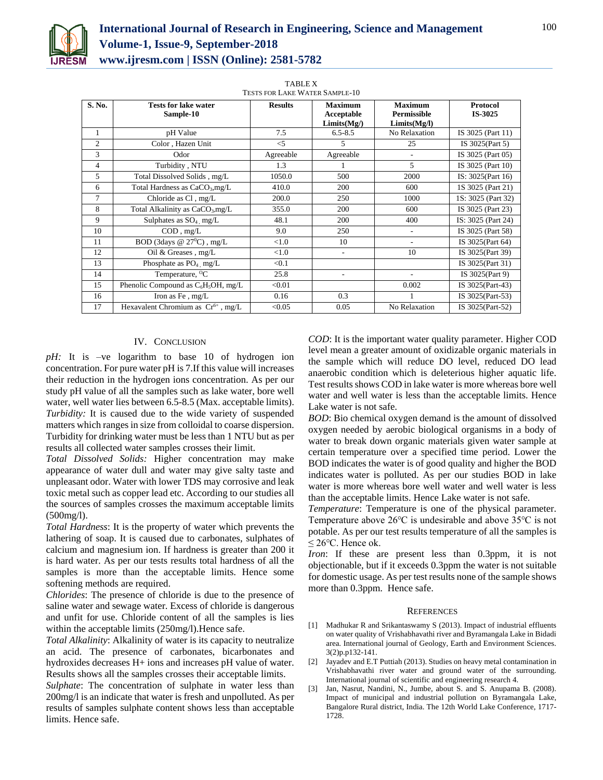

| TESTS FOR LAKE WATER SAMPLE-TU |                                             |                |                                            |                                               |                            |
|--------------------------------|---------------------------------------------|----------------|--------------------------------------------|-----------------------------------------------|----------------------------|
| S. No.                         | <b>Tests for lake water</b><br>Sample-10    | <b>Results</b> | <b>Maximum</b><br>Acceptable<br>Limits(Mg) | <b>Maximum</b><br>Permissible<br>Limits(Mg/I) | <b>Protocol</b><br>IS-3025 |
| 1                              | pH Value                                    | 7.5            | $6.5 - 8.5$                                | No Relaxation                                 | IS 3025 (Part 11)          |
| $\overline{c}$                 | Color, Hazen Unit                           | $<$ 5          | 5                                          | 25                                            | IS 3025(Part 5)            |
| 3                              | Odor                                        | Agreeable      | Agreeable                                  | $\overline{\phantom{a}}$                      | IS 3025 (Part 05)          |
| $\overline{4}$                 | Turbidity, NTU                              | 1.3            |                                            | 5                                             | IS 3025 (Part 10)          |
| 5                              | Total Dissolved Solids, mg/L                | 1050.0         | 500                                        | 2000                                          | IS: 3025(Part 16)          |
| 6                              | Total Hardness as CaCO <sub>3</sub> , mg/L  | 410.0          | 200                                        | 600                                           | 1S 3025 (Part 21)          |
| $\overline{7}$                 | Chloride as Cl, mg/L                        | 200.0          | 250                                        | 1000                                          | 1S: 3025 (Part 32)         |
| 8                              | Total Alkalinity as CaCO <sub>3</sub> ,mg/L | 355.0          | 200                                        | 600                                           | IS 3025 (Part 23)          |
| 9                              | Sulphates as $SO_4$ , mg/L                  | 48.1           | 200                                        | 400                                           | IS: 3025 (Part 24)         |
| 10                             | $COD$ , $mg/L$                              | 9.0            | 250                                        |                                               | IS 3025 (Part 58)          |
| 11                             | BOD (3days @ $27^{\circ}$ C), mg/L          | < 1.0          | 10                                         |                                               | IS 3025(Part 64)           |
| 12                             | Oil & Greases, mg/L                         | < 1.0          | ٠                                          | 10                                            | IS 3025(Part 39)           |
| 13                             | Phosphate as $PO_4$ , mg/L                  | < 0.1          |                                            |                                               | IS 3025(Part 31)           |
| 14                             | Temperature, <sup>O</sup> C                 | 25.8           | ٠                                          | $\overline{a}$                                | IS 3025(Part 9)            |
| 15                             | Phenolic Compound as $C_6H_5OH$ , mg/L      | < 0.01         |                                            | 0.002                                         | IS 3025(Part-43)           |
| 16                             | Iron as Fe, mg/L                            | 0.16           | 0.3                                        |                                               | IS 3025(Part-53)           |
| 17                             | Hexavalent Chromium as $Cr^{6+}$ , mg/L     | < 0.05         | 0.05                                       | No Relaxation                                 | IS 3025(Part-52)           |

#### TABLE X TESTS FOR LAKE WATER SAMPLE-10

## IV. CONCLUSION

pH: It is -ve logarithm to base 10 of hydrogen ion concentration. For pure water pH is 7.If this value will increases their reduction in the hydrogen ions concentration. As per our study pH value of all the samples such as lake water, bore well water, well water lies between 6.5-8.5 (Max. acceptable limits). *Turbidity:* It is caused due to the wide variety of suspended matters which ranges in size from colloidal to coarse dispersion. Turbidity for drinking water must be less than 1 NTU but as per results all collected water samples crosses their limit.

*Total Dissolved Solids:* Higher concentration may make appearance of water dull and water may give salty taste and unpleasant odor. Water with lower TDS may corrosive and leak toxic metal such as copper lead etc. According to our studies all the sources of samples crosses the maximum acceptable limits (500mg/l).

*Total Hardness*: It is the property of water which prevents the lathering of soap. It is caused due to carbonates, sulphates of calcium and magnesium ion. If hardness is greater than 200 it is hard water. As per our tests results total hardness of all the samples is more than the acceptable limits. Hence some softening methods are required.

*Chlorides*: The presence of chloride is due to the presence of saline water and sewage water. Excess of chloride is dangerous and unfit for use. Chloride content of all the samples is lies within the acceptable limits (250mg/l).Hence safe.

*Total Alkalinity*: Alkalinity of water is its capacity to neutralize an acid. The presence of carbonates, bicarbonates and hydroxides decreases H+ ions and increases pH value of water. Results shows all the samples crosses their acceptable limits.

*Sulphate*: The concentration of sulphate in water less than 200mg/l is an indicate that water is fresh and unpolluted. As per results of samples sulphate content shows less than acceptable limits. Hence safe.

*COD*: It is the important water quality parameter. Higher COD level mean a greater amount of oxidizable organic materials in the sample which will reduce DO level, reduced DO lead anaerobic condition which is deleterious higher aquatic life. Test results shows COD in lake water is more whereas bore well water and well water is less than the acceptable limits. Hence Lake water is not safe.

*BOD*: Bio chemical oxygen demand is the amount of dissolved oxygen needed by aerobic biological organisms in a body of water to break down organic materials given water sample at certain temperature over a specified time period. Lower the BOD indicates the water is of good quality and higher the BOD indicates water is polluted. As per our studies BOD in lake water is more whereas bore well water and well water is less than the acceptable limits. Hence Lake water is not safe.

*Temperature*: Temperature is one of the physical parameter. Temperature above 26℃ is undesirable and above 35℃ is not potable. As per our test results temperature of all the samples is ≤ 26 $°C$ . Hence ok.

*Iron*: If these are present less than 0.3ppm, it is not objectionable, but if it exceeds 0.3ppm the water is not suitable for domestic usage. As per test results none of the sample shows more than 0.3ppm. Hence safe.

#### **REFERENCES**

- [1] Madhukar R and Srikantaswamy S (2013). Impact of industrial effluents on water quality of Vrishabhavathi river and Byramangala Lake in Bidadi area. International journal of Geology, Earth and Environment Sciences. 3(2)p.p132-141.
- [2] Jayadev and E.T Puttiah (2013). Studies on heavy metal contamination in Vrishabhavathi river water and ground water of the surrounding. International journal of scientific and engineering research 4.
- Jan, Nasrut, Nandini, N., Jumbe, about S. and S. Anupama B. (2008). Impact of municipal and industrial pollution on Byramangala Lake, Bangalore Rural district, India. The 12th World Lake Conference, 1717- 1728.